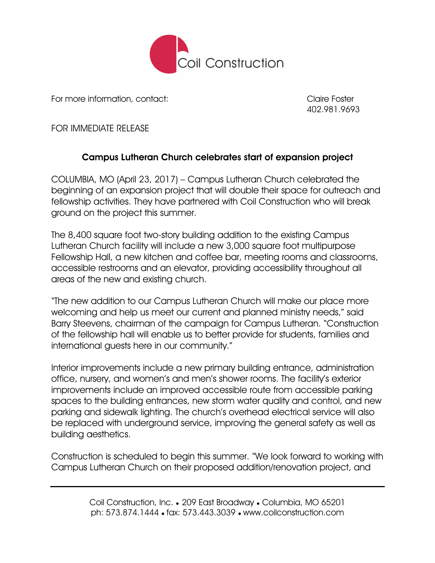

For more information, contact: Claire Foster

402.981.9693

FOR IMMEDIATE RELEASE

## Campus Lutheran Church celebrates start of expansion project

COLUMBIA, MO (April 23, 2017) – Campus Lutheran Church celebrated the beginning of an expansion project that will double their space for outreach and fellowship activities. They have partnered with Coil Construction who will break ground on the project this summer.

The 8,400 square foot two-story building addition to the existing Campus Lutheran Church facility will include a new 3,000 square foot multipurpose Fellowship Hall, a new kitchen and coffee bar, meeting rooms and classrooms, accessible restrooms and an elevator, providing accessibility throughout all areas of the new and existing church.

"The new addition to our Campus Lutheran Church will make our place more welcoming and help us meet our current and planned ministry needs," said Barry Steevens, chairman of the campaign for Campus Lutheran. "Construction of the fellowship hall will enable us to better provide for students, families and international guests here in our community."

Interior improvements include a new primary building entrance, administration office, nursery, and women's and men's shower rooms. The facility's exterior improvements include an improved accessible route from accessible parking spaces to the building entrances, new storm water quality and control, and new parking and sidewalk lighting. The church's overhead electrical service will also be replaced with underground service, improving the general safety as well as building aesthetics.

Construction is scheduled to begin this summer. "We look forward to working with Campus Lutheran Church on their proposed addition/renovation project, and

> Coil Construction, Inc. ● 209 East Broadway ● Columbia, MO 65201 ph: 573.874.1444 ● fax: 573.443.3039 ● www.coilconstruction.com